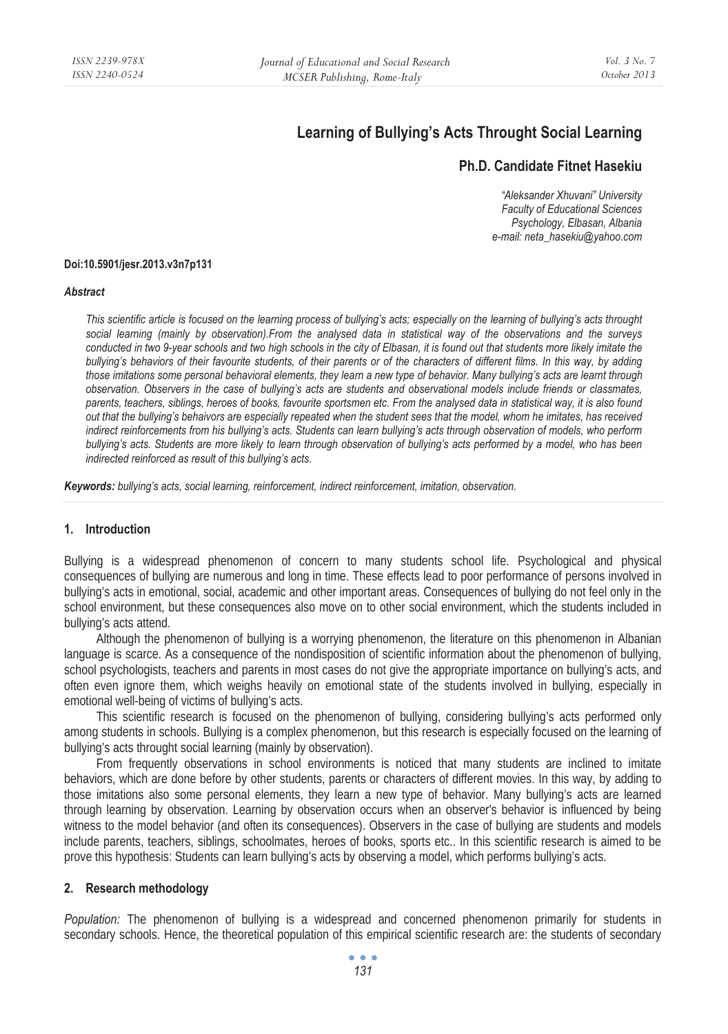# **Learning of Bullying's Acts Throught Social Learning**

# **Ph.D. Candidate Fitnet Hasekiu**

*"Aleksander Xhuvani" University Faculty of Educational Sciences Psychology, Elbasan, Albania e-mail: neta\_hasekiu@yahoo.com* 

#### **Doi:10.5901/jesr.2013.v3n7p131**

#### *Abstract*

*This scientific article is focused on the learning process of bullying's acts; especially on the learning of bullying's acts throught social learning (mainly by observation).From the analysed data in statistical way of the observations and the surveys conducted in two 9-year schools and two high schools in the city of Elbasan, it is found out that students more likely imitate the bullying's behaviors of their favourite students, of their parents or of the characters of different films. In this way, by adding those imitations some personal behavioral elements, they learn a new type of behavior. Many bullying's acts are learnt through observation. Observers in the case of bullying's acts are students and observational models include friends or classmates, parents, teachers, siblings, heroes of books, favourite sportsmen etc. From the analysed data in statistical way, it is also found out that the bullying's behaivors are especially repeated when the student sees that the model, whom he imitates, has received indirect reinforcements from his bullying's acts. Students can learn bullying's acts through observation of models, who perform bullying's acts. Students are more likely to learn through observation of bullying's acts performed by a model, who has been indirected reinforced as result of this bullying's acts.* 

*Keywords: bullying's acts, social learning, reinforcement, indirect reinforcement, imitation, observation.* 

### **1. Introduction**

Bullying is a widespread phenomenon of concern to many students school life. Psychological and physical consequences of bullying are numerous and long in time. These effects lead to poor performance of persons involved in bullying's acts in emotional, social, academic and other important areas. Consequences of bullying do not feel only in the school environment, but these consequences also move on to other social environment, which the students included in bullying's acts attend.

Although the phenomenon of bullying is a worrying phenomenon, the literature on this phenomenon in Albanian language is scarce. As a consequence of the nondisposition of scientific information about the phenomenon of bullying, school psychologists, teachers and parents in most cases do not give the appropriate importance on bullying's acts, and often even ignore them, which weighs heavily on emotional state of the students involved in bullying, especially in emotional well-being of victims of bullying's acts.

This scientific research is focused on the phenomenon of bullying, considering bullying's acts performed only among students in schools. Bullying is a complex phenomenon, but this research is especially focused on the learning of bullying's acts throught social learning (mainly by observation).

From frequently observations in school environments is noticed that many students are inclined to imitate behaviors, which are done before by other students, parents or characters of different movies. In this way, by adding to those imitations also some personal elements, they learn a new type of behavior. Many bullying's acts are learned through learning by observation. Learning by observation occurs when an observer's behavior is influenced by being witness to the model behavior (and often its consequences). Observers in the case of bullying are students and models include parents, teachers, siblings, schoolmates, heroes of books, sports etc.. In this scientific research is aimed to be prove this hypothesis: Students can learn bullying's acts by observing a model, which performs bullying's acts.

### **2. Research methodology**

*Population:* The phenomenon of bullying is a widespread and concerned phenomenon primarily for students in secondary schools. Hence, the theoretical population of this empirical scientific research are: the students of secondary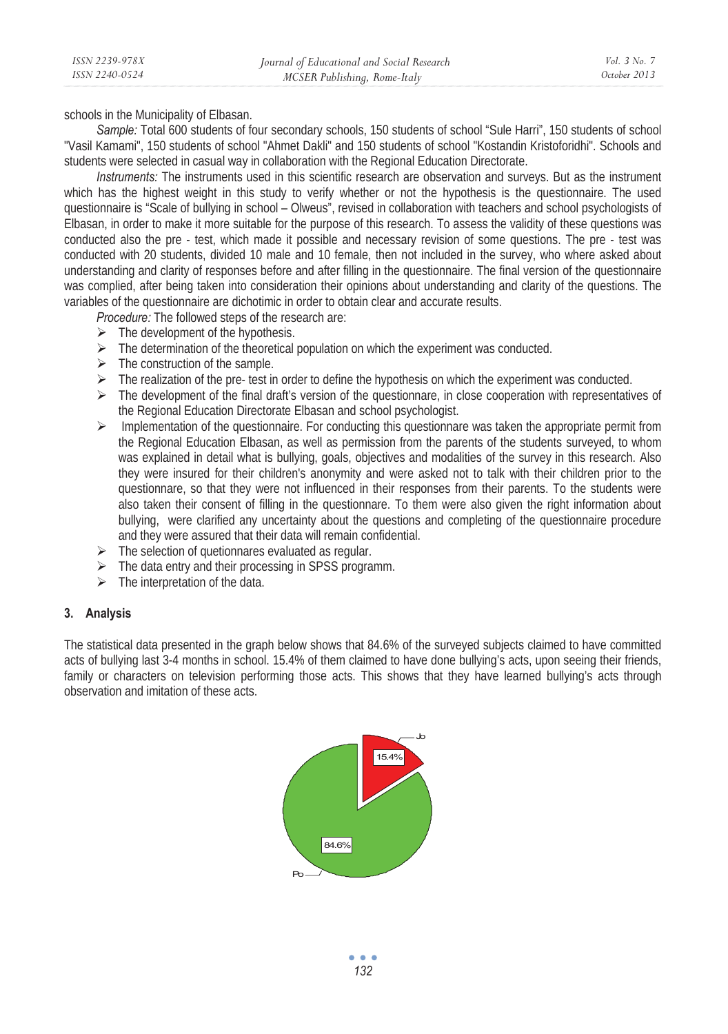*ISSN 2239-978X ISSN 2240-0524* 

schools in the Municipality of Elbasan.

*Sample:* Total 600 students of four secondary schools, 150 students of school "Sule Harri", 150 students of school "Vasil Kamami", 150 students of school "Ahmet Dakli" and 150 students of school "Kostandin Kristoforidhi". Schools and students were selected in casual way in collaboration with the Regional Education Directorate.

*Instruments:* The instruments used in this scientific research are observation and surveys. But as the instrument which has the highest weight in this study to verify whether or not the hypothesis is the questionnaire. The used questionnaire is "Scale of bullying in school – Olweus", revised in collaboration with teachers and school psychologists of Elbasan, in order to make it more suitable for the purpose of this research. To assess the validity of these questions was conducted also the pre - test, which made it possible and necessary revision of some questions. The pre - test was conducted with 20 students, divided 10 male and 10 female, then not included in the survey, who where asked about understanding and clarity of responses before and after filling in the questionnaire. The final version of the questionnaire was complied, after being taken into consideration their opinions about understanding and clarity of the questions. The variables of the questionnaire are dichotimic in order to obtain clear and accurate results.

*Procedure:* The followed steps of the research are:

- $\triangleright$  The development of the hypothesis.
- $\triangleright$  The determination of the theoretical population on which the experiment was conducted.
- $\triangleright$  The construction of the sample.
- $\triangleright$  The realization of the pre- test in order to define the hypothesis on which the experiment was conducted.
- $\triangleright$  The development of the final draft's version of the questionnare, in close cooperation with representatives of the Regional Education Directorate Elbasan and school psychologist.
- $\triangleright$  Implementation of the questionnaire. For conducting this questionnare was taken the appropriate permit from the Regional Education Elbasan, as well as permission from the parents of the students surveyed, to whom was explained in detail what is bullying, goals, objectives and modalities of the survey in this research. Also they were insured for their children's anonymity and were asked not to talk with their children prior to the questionnare, so that they were not influenced in their responses from their parents. To the students were also taken their consent of filling in the questionnare. To them were also given the right information about bullying, were clarified any uncertainty about the questions and completing of the questionnaire procedure and they were assured that their data will remain confidential.
- $\triangleright$  The selection of quetionnares evaluated as regular.
- $\triangleright$  The data entry and their processing in SPSS programm.
- $\triangleright$  The interpretation of the data.

## **3. Analysis**

The statistical data presented in the graph below shows that 84.6% of the surveyed subjects claimed to have committed acts of bullying last 3-4 months in school. 15.4% of them claimed to have done bullying's acts, upon seeing their friends, family or characters on television performing those acts. This shows that they have learned bullying's acts through observation and imitation of these acts.